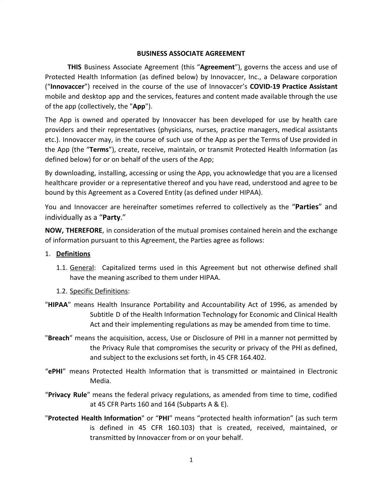#### **BUSINESS ASSOCIATE AGREEMENT**

**THIS** Business Associate Agreement (this "**Agreement**"), governs the access and use of Protected Health Information (as defined below) by Innovaccer, Inc., a Delaware corporation ("**Innovaccer**") received in the course of the use of Innovaccer's **COVID-19 Practice Assistant** mobile and desktop app and the services, features and content made available through the use of the app (collectively, the "**App**").

The App is owned and operated by Innovaccer has been developed for use by health care providers and their representatives (physicians, nurses, practice managers, medical assistants etc.). Innovaccer may, in the course of such use of the App as per the Terms of Use provided in the App (the "**Terms**"), create, receive, maintain, or transmit Protected Health Information (as defined below) for or on behalf of the users of the App;

By downloading, installing, accessing or using the App, you acknowledge that you are a licensed healthcare provider or a representative thereof and you have read, understood and agree to be bound by this Agreement as a Covered Entity (as defined under HIPAA).

You and Innovaccer are hereinafter sometimes referred to collectively as the "**Parties**" and individually as a "**Party**."

**NOW, THEREFORE**, in consideration of the mutual promises contained herein and the exchange of information pursuant to this Agreement, the Parties agree as follows:

#### 1. **Definitions**

- 1.1. General: Capitalized terms used in this Agreement but not otherwise defined shall have the meaning ascribed to them under HIPAA.
- 1.2. Specific Definitions:
- "**HIPAA**" means Health Insurance Portability and Accountability Act of 1996, as amended by Subtitle D of the Health Information Technology for Economic and Clinical Health Act and their implementing regulations as may be amended from time to time.
- "**Breach**" means the acquisition, access, Use or Disclosure of PHI in a manner not permitted by the Privacy Rule that compromises the security or privacy of the PHI as defined, and subject to the exclusions set forth, in 45 CFR 164.402.
- "**ePHI**" means Protected Health Information that is transmitted or maintained in Electronic Media.
- "**Privacy Rule**" means the federal privacy regulations, as amended from time to time, codified at 45 CFR Parts 160 and 164 (Subparts A & E).
- "**Protected Health Information**" or "**PHI**" means "protected health information" (as such term is defined in 45 CFR 160.103) that is created, received, maintained, or transmitted by Innovaccer from or on your behalf.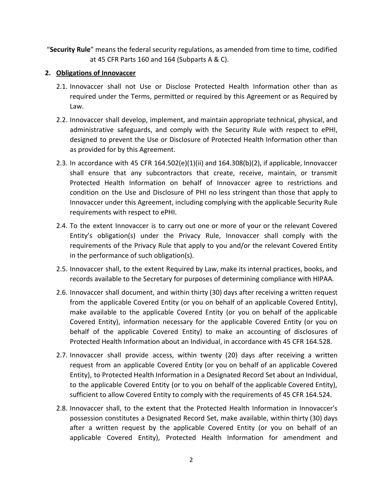"**Security Rule**" means the federal security regulations, as amended from time to time, codified at 45 CFR Parts 160 and 164 (Subparts A & C).

## **2. Obligations of Innovaccer**

- 2.1. Innovaccer shall not Use or Disclose Protected Health Information other than as required under the Terms, permitted or required by this Agreement or as Required by Law.
- 2.2. Innovaccer shall develop, implement, and maintain appropriate technical, physical, and administrative safeguards, and comply with the Security Rule with respect to ePHI, designed to prevent the Use or Disclosure of Protected Health Information other than as provided for by this Agreement.
- 2.3. In accordance with 45 CFR 164.502(e)(1)(ii) and  $164.308(b)(2)$ , if applicable, Innovaccer shall ensure that any subcontractors that create, receive, maintain, or transmit Protected Health Information on behalf of Innovaccer agree to restrictions and condition on the Use and Disclosure of PHI no less stringent than those that apply to Innovaccer under this Agreement, including complying with the applicable Security Rule requirements with respect to ePHI.
- 2.4. To the extent Innovaccer is to carry out one or more of your or the relevant Covered Entity's obligation(s) under the Privacy Rule, Innovaccer shall comply with the requirements of the Privacy Rule that apply to you and/or the relevant Covered Entity in the performance of such obligation(s).
- 2.5. Innovaccer shall, to the extent Required by Law, make its internal practices, books, and records available to the Secretary for purposes of determining compliance with HIPAA.
- 2.6. Innovaccer shall document, and within thirty (30) days after receiving a written request from the applicable Covered Entity (or you on behalf of an applicable Covered Entity), make available to the applicable Covered Entity (or you on behalf of the applicable Covered Entity), information necessary for the applicable Covered Entity (or you on behalf of the applicable Covered Entity) to make an accounting of disclosures of Protected Health Information about an Individual, in accordance with 45 CFR 164.528.
- 2.7. Innovaccer shall provide access, within twenty (20) days after receiving a written request from an applicable Covered Entity (or you on behalf of an applicable Covered Entity), to Protected Health Information in a Designated Record Set about an Individual, to the applicable Covered Entity (or to you on behalf of the applicable Covered Entity), sufficient to allow Covered Entity to comply with the requirements of 45 CFR 164.524.
- 2.8. Innovaccer shall, to the extent that the Protected Health Information in Innovaccer's possession constitutes a Designated Record Set, make available, within thirty (30) days after a written request by the applicable Covered Entity (or you on behalf of an applicable Covered Entity), Protected Health Information for amendment and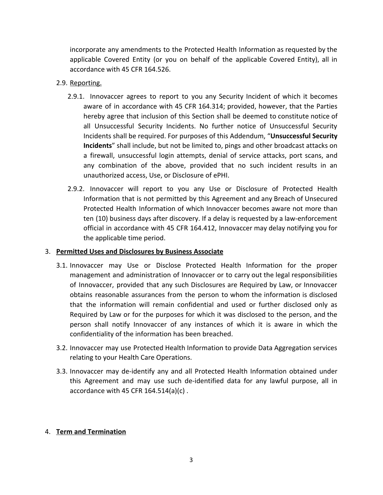incorporate any amendments to the Protected Health Information as requested by the applicable Covered Entity (or you on behalf of the applicable Covered Entity), all in accordance with 45 CFR 164.526.

## 2.9. Reporting.

- 2.9.1. Innovaccer agrees to report to you any Security Incident of which it becomes aware of in accordance with 45 CFR 164.314; provided, however, that the Parties hereby agree that inclusion of this Section shall be deemed to constitute notice of all Unsuccessful Security Incidents. No further notice of Unsuccessful Security Incidents shall be required. For purposes of this Addendum, "**Unsuccessful Security Incidents**" shall include, but not be limited to, pings and other broadcast attacks on a firewall, unsuccessful login attempts, denial of service attacks, port scans, and any combination of the above, provided that no such incident results in an unauthorized access, Use, or Disclosure of ePHI.
- 2.9.2. Innovaccer will report to you any Use or Disclosure of Protected Health Information that is not permitted by this Agreement and any Breach of Unsecured Protected Health Information of which Innovaccer becomes aware not more than ten (10) business days after discovery. If a delay is requested by a law-enforcement official in accordance with 45 CFR 164.412, Innovaccer may delay notifying you for the applicable time period.

#### 3. **Permitted Uses and Disclosures by Business Associate**

- 3.1. Innovaccer may Use or Disclose Protected Health Information for the proper management and administration of Innovaccer or to carry out the legal responsibilities of Innovaccer, provided that any such Disclosures are Required by Law, or Innovaccer obtains reasonable assurances from the person to whom the information is disclosed that the information will remain confidential and used or further disclosed only as Required by Law or for the purposes for which it was disclosed to the person, and the person shall notify Innovaccer of any instances of which it is aware in which the confidentiality of the information has been breached.
- 3.2. Innovaccer may use Protected Health Information to provide Data Aggregation services relating to your Health Care Operations.
- 3.3. Innovaccer may de-identify any and all Protected Health Information obtained under this Agreement and may use such de-identified data for any lawful purpose, all in accordance with 45 CFR  $164.514(a)(c)$ .

# 4. **Term and Termination**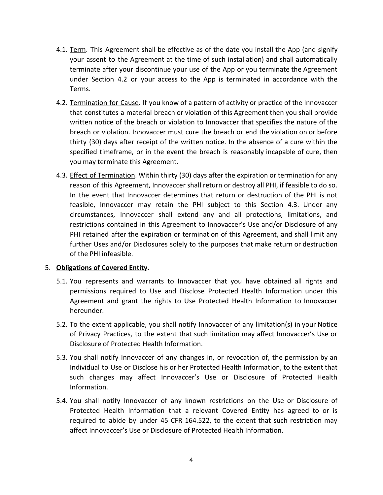- 4.1. Term. This Agreement shall be effective as of the date you install the App (and signify your assent to the Agreement at the time of such installation) and shall automatically terminate after your discontinue your use of the App or you terminate the Agreement under Section 4.2 or your access to the App is terminated in accordance with the Terms.
- 4.2. Termination for Cause. If you know of a pattern of activity or practice of the Innovaccer that constitutes a material breach or violation of this Agreement then you shall provide written notice of the breach or violation to Innovaccer that specifies the nature of the breach or violation. Innovaccer must cure the breach or end the violation on or before thirty (30) days after receipt of the written notice. In the absence of a cure within the specified timeframe, or in the event the breach is reasonably incapable of cure, then you may terminate this Agreement.
- 4.3. Effect of Termination. Within thirty (30) days after the expiration or termination for any reason of this Agreement, Innovaccer shall return or destroy all PHI, if feasible to do so. In the event that Innovaccer determines that return or destruction of the PHI is not feasible, Innovaccer may retain the PHI subject to this Section 4.3. Under any circumstances, Innovaccer shall extend any and all protections, limitations, and restrictions contained in this Agreement to Innovaccer's Use and/or Disclosure of any PHI retained after the expiration or termination of this Agreement, and shall limit any further Uses and/or Disclosures solely to the purposes that make return or destruction of the PHI infeasible.

#### 5. **Obligations of Covered Entity.**

- 5.1. You represents and warrants to Innovaccer that you have obtained all rights and permissions required to Use and Disclose Protected Health Information under this Agreement and grant the rights to Use Protected Health Information to Innovaccer hereunder.
- 5.2. To the extent applicable, you shall notify Innovaccer of any limitation(s) in your Notice of Privacy Practices, to the extent that such limitation may affect Innovaccer's Use or Disclosure of Protected Health Information.
- 5.3. You shall notify Innovaccer of any changes in, or revocation of, the permission by an Individual to Use or Disclose his or her Protected Health Information, to the extent that such changes may affect Innovaccer's Use or Disclosure of Protected Health Information.
- 5.4. You shall notify Innovaccer of any known restrictions on the Use or Disclosure of Protected Health Information that a relevant Covered Entity has agreed to or is required to abide by under 45 CFR 164.522, to the extent that such restriction may affect Innovaccer's Use or Disclosure of Protected Health Information.